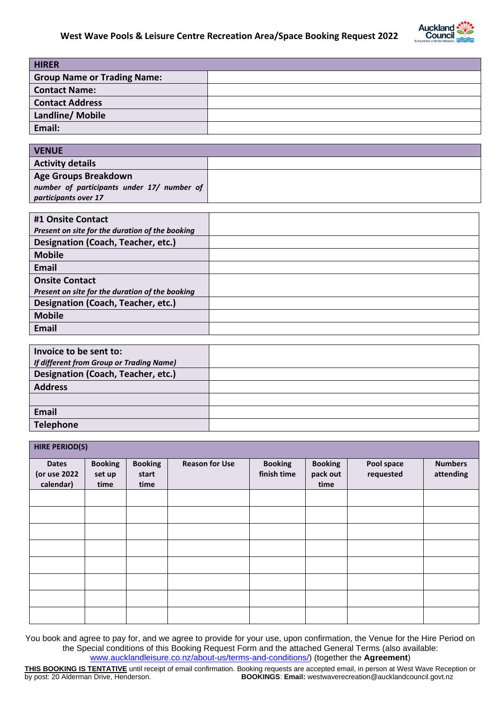

| <b>HIRER</b>                       |  |
|------------------------------------|--|
| <b>Group Name or Trading Name:</b> |  |
| <b>Contact Name:</b>               |  |
| <b>Contact Address</b>             |  |
| Landline/ Mobile                   |  |
| Email:                             |  |
|                                    |  |

| <b>VENUE</b>                               |  |
|--------------------------------------------|--|
| <b>Activity details</b>                    |  |
| Age Groups Breakdown                       |  |
| number of participants under 17/ number of |  |
| participants over 17                       |  |

| #1 Onsite Contact                               |  |
|-------------------------------------------------|--|
| Present on site for the duration of the booking |  |
| Designation (Coach, Teacher, etc.)              |  |
| <b>Mobile</b>                                   |  |
| Email                                           |  |
| <b>Onsite Contact</b>                           |  |
| Present on site for the duration of the booking |  |
| Designation (Coach, Teacher, etc.)              |  |
| <b>Mobile</b>                                   |  |
| <b>Email</b>                                    |  |

| Invoice to be sent to:                   |  |
|------------------------------------------|--|
| If different from Group or Trading Name) |  |
| Designation (Coach, Teacher, etc.)       |  |
| <b>Address</b>                           |  |
|                                          |  |
| <b>Email</b>                             |  |
| <b>Telephone</b>                         |  |

| <b>HIRE PERIOD(S)</b>                     |                                  |                                 |                       |                               |                                    |                         |                             |  |  |  |
|-------------------------------------------|----------------------------------|---------------------------------|-----------------------|-------------------------------|------------------------------------|-------------------------|-----------------------------|--|--|--|
| <b>Dates</b><br>(or use 2022<br>calendar) | <b>Booking</b><br>set up<br>time | <b>Booking</b><br>start<br>time | <b>Reason for Use</b> | <b>Booking</b><br>finish time | <b>Booking</b><br>pack out<br>time | Pool space<br>requested | <b>Numbers</b><br>attending |  |  |  |
|                                           |                                  |                                 |                       |                               |                                    |                         |                             |  |  |  |
|                                           |                                  |                                 |                       |                               |                                    |                         |                             |  |  |  |
|                                           |                                  |                                 |                       |                               |                                    |                         |                             |  |  |  |
|                                           |                                  |                                 |                       |                               |                                    |                         |                             |  |  |  |
|                                           |                                  |                                 |                       |                               |                                    |                         |                             |  |  |  |
|                                           |                                  |                                 |                       |                               |                                    |                         |                             |  |  |  |
|                                           |                                  |                                 |                       |                               |                                    |                         |                             |  |  |  |
|                                           |                                  |                                 |                       |                               |                                    |                         |                             |  |  |  |

You book and agree to pay for, and we agree to provide for your use, upon confirmation, the Venue for the Hire Period on the Special conditions of this Booking Request Form and the attached General Terms (also available: [www.aucklandleisure.co.nz/about-us/terms-and-conditions/\)](http://www.aucklandleisure.co.nz/about-us/terms-and-conditions/) (together the **Agreement**)

**THIS BOOKING IS TENTATIVE** until receipt of email confirmation. Booking requests are accepted email, in person at West Wave Reception or by post: 20 Alderman Drive, Henderson.<br>**BOOKINGS: Email:** westwaverecreation@aucklan **BOOKINGS: Email:** westwaverecreation@aucklandcouncil.govt.nz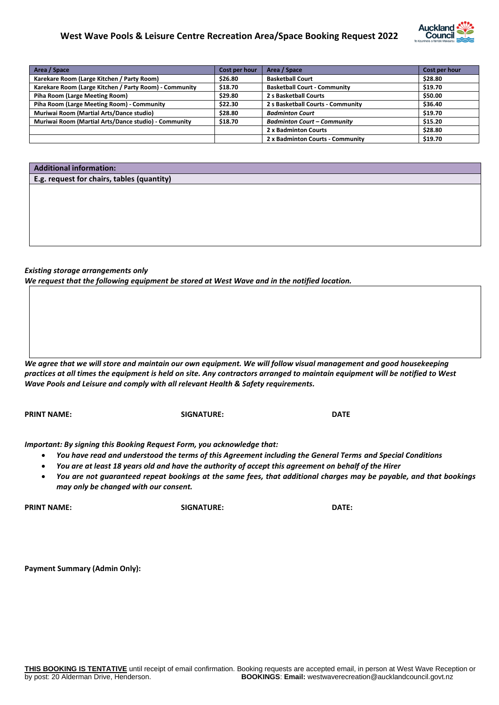# **West Wave Pools & Leisure Centre Recreation Area/Space Booking Request 2022**



| Area / Space                                           | Cost per hour | Area / Space                        | Cost per hour |
|--------------------------------------------------------|---------------|-------------------------------------|---------------|
| Karekare Room (Large Kitchen / Party Room)             | \$26.80       | <b>Basketball Court</b>             | \$28.80       |
| Karekare Room (Large Kitchen / Party Room) - Community | \$18.70       | <b>Basketball Court - Community</b> | \$19.70       |
| Piha Room (Large Meeting Room)                         | \$29.80       | 2 s Basketball Courts               | \$50.00       |
| Piha Room (Large Meeting Room) - Community             | \$22.30       | 2 s Basketball Courts - Community   | \$36.40       |
| Muriwai Room (Martial Arts/Dance studio)               | \$28.80       | <b>Badminton Court</b>              | \$19.70       |
| Muriwai Room (Martial Arts/Dance studio) - Community   | \$18.70       | <b>Badminton Court - Community</b>  | \$15.20       |
|                                                        |               | 2 x Badminton Courts                | \$28.80       |
|                                                        |               | 2 x Badminton Courts - Community    | \$19.70       |

## **Additional information:**

# **E.g. request for chairs, tables (quantity)**

## *Existing storage arrangements only*

*We request that the following equipment be stored at West Wave and in the notified location.* 

*We agree that we will store and maintain our own equipment. We will follow visual management and good housekeeping practices at all times the equipment is held on site. Any contractors arranged to maintain equipment will be notified to West Wave Pools and Leisure and comply with all relevant Health & Safety requirements.* 

**PRINT NAME: SIGNATURE: DATE**

*Important: By signing this Booking Request Form, you acknowledge that:*

- *You have read and understood the terms of this Agreement including the General Terms and Special Conditions*
- *You are at least 18 years old and have the authority of accept this agreement on behalf of the Hirer*
- *You are not guaranteed repeat bookings at the same fees, that additional charges may be payable, and that bookings may only be changed with our consent.*

**PRINT NAME: SIGNATURE: DATE:**

**Payment Summary (Admin Only):**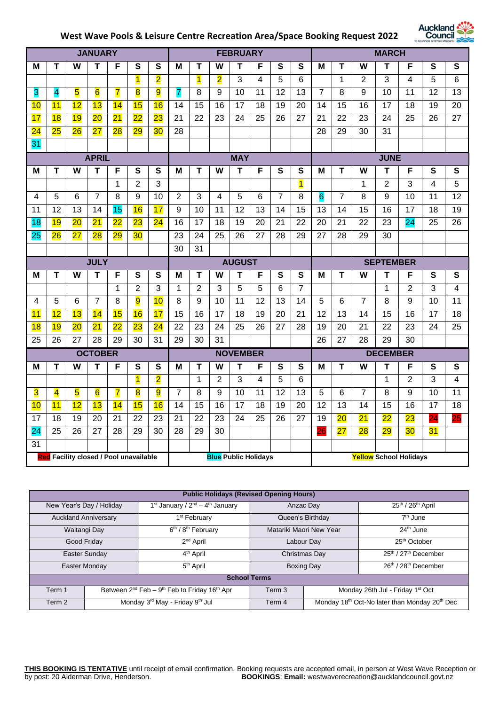# **West Wave Pools & Leisure Centre Recreation Area/Space Booking Request 2022**



|                         |                         |                         | <b>JANUARY</b> |                 |                 |                         |                 |                         |                             | <b>FEBRUARY</b> |    |                |                         |                 |                 |                | <b>MARCH</b>    |    |    |           |
|-------------------------|-------------------------|-------------------------|----------------|-----------------|-----------------|-------------------------|-----------------|-------------------------|-----------------------------|-----------------|----|----------------|-------------------------|-----------------|-----------------|----------------|-----------------|----|----|-----------|
| M                       | Т                       | W                       | Т              | F               | S               | $\overline{\mathbf{s}}$ | M               | Т                       | W                           | Т               | F  | $\mathbf{s}$   | $\overline{\mathbf{s}}$ | M               | Т               | W              | Т               | F  | S  | S         |
|                         |                         |                         |                |                 | $\overline{1}$  | $\overline{\mathbf{2}}$ |                 | $\overline{\mathbf{1}}$ | $\overline{\mathbf{2}}$     | 3               | 4  | 5              | $6\phantom{1}6$         |                 | $\mathbf{1}$    | $\overline{2}$ | 3               | 4  | 5  | 6         |
| 3                       | 4                       | 5                       | $\overline{6}$ | $\overline{7}$  | 8               | $\overline{9}$          | $\overline{7}$  | 8                       | 9                           | 10              | 11 | 12             | 13                      | $\overline{7}$  | 8               | 9              | 10              | 11 | 12 | 13        |
| 10                      | 11                      | 12                      | 13             | 14              | 15              | 16                      | 14              | 15                      | 16                          | 17              | 18 | 19             | 20                      | 14              | 15              | 16             | 17              | 18 | 19 | 20        |
| 17                      | 18                      | 19                      | 20             | 21              | $\overline{22}$ | 23                      | 21              | 22                      | 23                          | 24              | 25 | 26             | 27                      | 21              | 22              | 23             | 24              | 25 | 26 | 27        |
| $\overline{24}$         | 25                      | 26                      | 27             | 28              | 29              | 30                      | $\overline{28}$ |                         |                             |                 |    |                |                         | 28              | $\overline{29}$ | 30             | $\overline{31}$ |    |    |           |
| 31                      |                         |                         |                |                 |                 |                         |                 |                         |                             |                 |    |                |                         |                 |                 |                |                 |    |    |           |
|                         |                         |                         | <b>APRIL</b>   |                 |                 |                         |                 |                         |                             | <b>MAY</b>      |    |                |                         |                 |                 |                | <b>JUNE</b>     |    |    |           |
| м                       | T                       | W                       | T              | F               | S               | S                       | M               | Т                       | W                           | T               | F  | $\mathbf{s}$   | S                       | М               | T               | W              | T               | F  | S  | ${\bf S}$ |
|                         |                         |                         |                | 1               | 2               | 3                       |                 |                         |                             |                 |    |                | $\overline{\mathbf{1}}$ |                 |                 | 1              | $\overline{2}$  | 3  | 4  | 5         |
| 4                       | 5                       | $6\phantom{1}$          | $\overline{7}$ | 8               | 9               | $\overline{10}$         | $\overline{2}$  | 3                       | $\overline{4}$              | 5               | 6  | $\overline{7}$ | 8                       | $6\overline{6}$ | $\overline{7}$  | 8              | 9               | 10 | 11 | 12        |
| 11                      | 12                      | 13                      | 14             | 15              | 16              | 17                      | 9               | 10                      | 11                          | $\overline{12}$ | 13 | 14             | $\overline{15}$         | $\overline{13}$ | 14              | 15             | 16              | 17 | 18 | 19        |
| 18                      | 19                      | 20                      | 21             | 22              | 23              | 24                      | 16              | 17                      | 18                          | 19              | 20 | 21             | 22                      | 20              | 21              | 22             | 23              | 24 | 25 | 26        |
| 25                      | 26                      | 27                      | 28             | 29              | 30              |                         | 23              | 24                      | 25                          | 26              | 27 | 28             | 29                      | 27              | 28              | 29             | 30              |    |    |           |
|                         |                         |                         |                |                 |                 |                         | 30              | 31                      |                             |                 |    |                |                         |                 |                 |                |                 |    |    |           |
| <b>JULY</b>             |                         |                         |                | <b>AUGUST</b>   |                 |                         |                 |                         | <b>SEPTEMBER</b>            |                 |    |                |                         |                 |                 |                |                 |    |    |           |
|                         |                         |                         |                |                 |                 |                         |                 |                         |                             |                 |    |                |                         |                 |                 |                |                 |    |    |           |
| M                       | т                       | W                       | T              | F               | $\mathbf{s}$    | $\mathbf s$             | M               | т                       | W                           | T               | F  | $\mathbf{s}$   | S                       | M               | т               | W              | Τ               | F  | S  | S         |
|                         |                         |                         |                | 1               | 2               | 3                       | 1               | $\overline{2}$          | 3                           | $\overline{5}$  | 5  | 6              | $\overline{7}$          |                 |                 |                | 1               | 2  | 3  | 4         |
| $\overline{\mathbf{4}}$ | 5                       | 6                       | $\overline{7}$ | 8               | 9               | 10                      | 8               | 9                       | 10                          | 11              | 12 | 13             | 14                      | 5               | 6               | $\overline{7}$ | 8               | 9  | 10 | 11        |
| 11                      | 12                      | 13                      | 14             | 15              | 16              | 17                      | 15              | 16                      | 17                          | 18              | 19 | 20             | 21                      | $\overline{12}$ | 13              | 14             | 15              | 16 | 17 | 18        |
| 18                      | 19                      | 20                      | 21             | $\overline{22}$ | 23              | 24                      | 22              | 23                      | 24                          | 25              | 26 | 27             | 28                      | 19              | 20              | 21             | 22              | 23 | 24 | 25        |
| 25                      | 26                      | 27                      | 28             | 29              | 30              | 31                      | 29              | 30                      | 31                          |                 |    |                |                         | 26              | 27              | 28             | 29              | 30 |    |           |
|                         |                         |                         | <b>OCTOBER</b> |                 |                 |                         |                 |                         |                             | <b>NOVEMBER</b> |    |                |                         |                 |                 |                | <b>DECEMBER</b> |    |    |           |
| M                       | Т                       | W                       | т              | F               | S               | S                       | M               | Т                       | W                           | т               | F  | S              | S                       | М               | Т               | W              | Т               | F  | S  | S         |
|                         |                         |                         |                |                 | $\mathbf{1}$    | $\overline{\mathbf{2}}$ |                 | $\mathbf{1}$            | 2                           | 3               | 4  | 5              | 6                       |                 |                 |                | 1               | 2  | 3  | 4         |
| $\overline{\mathbf{3}}$ | $\overline{\mathbf{4}}$ | $\overline{\mathbf{5}}$ | $\overline{6}$ | $\overline{7}$  | 8               | $\overline{9}$          | $\overline{7}$  | 8                       | 9                           | 10              | 11 | 12             | 13                      | 5               | 6               | $\overline{7}$ | 8               | 9  | 10 | 11        |
| 10                      | 11                      | 12                      | 13             | 14              | 15              | 16                      | 14              | 15                      | 16                          | 17              | 18 | 19             | 20                      | 12              | 13              | 14             | 15              | 16 | 17 | 18        |
| 17                      | 18                      | 19                      | 20             | 21              | 22              | 23                      | 21              | 22                      | 23                          | 24              | 25 | 26             | 27                      | 19              | 20              | 21             | $\overline{22}$ | 23 | 24 | 25        |
| $\overline{24}$         | 25                      | 26                      | 27             | 28              | 29              | $\overline{30}$         | 28              | $\overline{29}$         | 30                          |                 |    |                |                         | 26              | 27              | 28             | $\overline{29}$ | 30 | 31 |           |
| 31                      |                         |                         |                |                 |                 |                         |                 |                         | <b>Blue Public Holidays</b> |                 |    |                |                         |                 |                 |                |                 |    |    |           |

| <b>Public Holidays (Revised Opening Hours)</b> |                                      |                                                                    |                     |                                                                       |                                              |  |  |  |  |
|------------------------------------------------|--------------------------------------|--------------------------------------------------------------------|---------------------|-----------------------------------------------------------------------|----------------------------------------------|--|--|--|--|
|                                                | New Year's Day / Holiday             | 1 <sup>st</sup> January / $2nd - 4th$ January                      |                     | Anzac Day                                                             | $25th$ / $26th$ April                        |  |  |  |  |
|                                                | <b>Auckland Anniversary</b>          | 1 <sup>st</sup> February                                           |                     | Queen's Birthday                                                      | $7th$ June                                   |  |  |  |  |
|                                                | Waitangi Day                         | $\overline{6^{th}/ 8^{th}}$ February                               |                     | Matariki Maori New Year                                               | $24th$ June                                  |  |  |  |  |
|                                                | 2 <sup>nd</sup> April<br>Good Friday |                                                                    |                     | Labour Day                                                            | 25 <sup>th</sup> October                     |  |  |  |  |
|                                                | Easter Sunday                        | 4 <sup>th</sup> April                                              |                     | Christmas Day                                                         | $25th / 27th$ December                       |  |  |  |  |
|                                                | Easter Monday                        | 5 <sup>th</sup> April                                              |                     | Boxing Day                                                            | 26th / 28th December                         |  |  |  |  |
|                                                |                                      |                                                                    | <b>School Terms</b> |                                                                       |                                              |  |  |  |  |
| Term 1                                         |                                      | Between $2^{nd}$ Feb – $9^{th}$ Feb to Friday 16 <sup>th</sup> Apr | Term 3              |                                                                       | Monday 26th Jul - Friday 1 <sup>st</sup> Oct |  |  |  |  |
| Term 2                                         |                                      | Monday 3rd May - Friday 9th Jul                                    | Term 4              | Monday 18 <sup>th</sup> Oct-No later than Monday 20 <sup>th</sup> Dec |                                              |  |  |  |  |